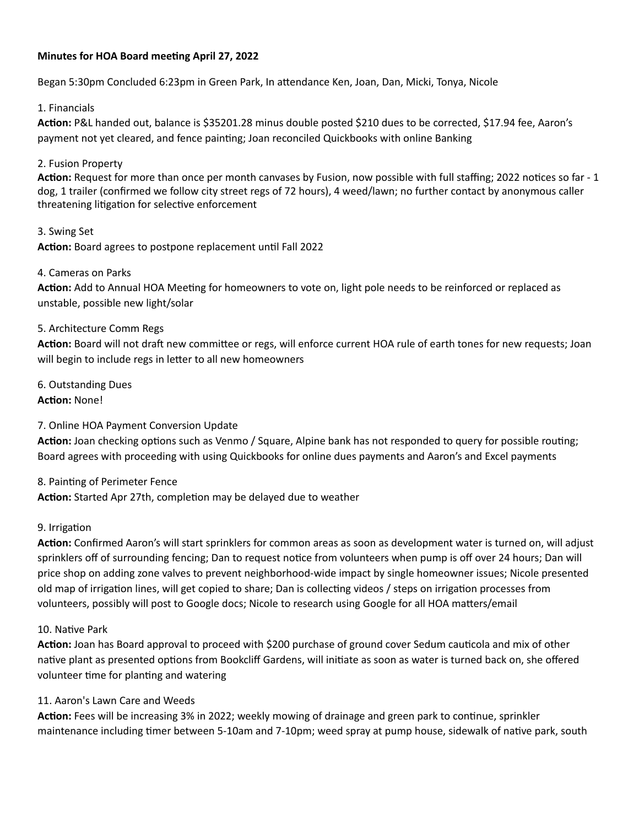## **Minutes for HOA Board meeting April 27, 2022**

Began 5:30pm Concluded 6:23pm in Green Park, In attendance Ken, Joan, Dan, Micki, Tonya, Nicole

### 1. Financials

**Action:** P&L handed out, balance is \$35201.28 minus double posted \$210 dues to be corrected, \$17.94 fee, Aaron's payment not yet cleared, and fence painting; Joan reconciled Quickbooks with online Banking

## 2. Fusion Property

**Action:** Request for more than once per month canvases by Fusion, now possible with full staffing; 2022 notices so far - 1 dog, 1 trailer (confirmed we follow city street regs of 72 hours), 4 weed/lawn; no further contact by anonymous caller threatening litigation for selective enforcement

3. Swing Set **Action:** Board agrees to postpone replacement until Fall 2022

## 4. Cameras on Parks

**Action:** Add to Annual HOA Meeting for homeowners to vote on, light pole needs to be reinforced or replaced as unstable, possible new light/solar

## 5. Architecture Comm Regs

**Action:** Board will not draft new committee or regs, will enforce current HOA rule of earth tones for new requests; Joan will begin to include regs in letter to all new homeowners

6. Outstanding Dues **Action:** None!

# 7. Online HOA Payment Conversion Update

**Action:** Joan checking options such as Venmo / Square, Alpine bank has not responded to query for possible routing; Board agrees with proceeding with using Quickbooks for online dues payments and Aaron's and Excel payments

### 8. Painting of Perimeter Fence

**Action:** Started Apr 27th, completion may be delayed due to weather

### 9. Irrigation

**Action:** Confirmed Aaron's will start sprinklers for common areas as soon as development water is turned on, will adjust sprinklers off of surrounding fencing; Dan to request notice from volunteers when pump is off over 24 hours; Dan will price shop on adding zone valves to prevent neighborhood-wide impact by single homeowner issues; Nicole presented old map of irrigation lines, will get copied to share; Dan is collecting videos / steps on irrigation processes from volunteers, possibly will post to Google docs; Nicole to research using Google for all HOA matters/email

### 10. Native Park

**Action:** Joan has Board approval to proceed with \$200 purchase of ground cover Sedum cauticola and mix of other native plant as presented options from Bookcliff Gardens, will initiate as soon as water is turned back on, she offered volunteer time for planting and watering

### 11. Aaron's Lawn Care and Weeds

**Action:** Fees will be increasing 3% in 2022; weekly mowing of drainage and green park to continue, sprinkler maintenance including timer between 5-10am and 7-10pm; weed spray at pump house, sidewalk of native park, south